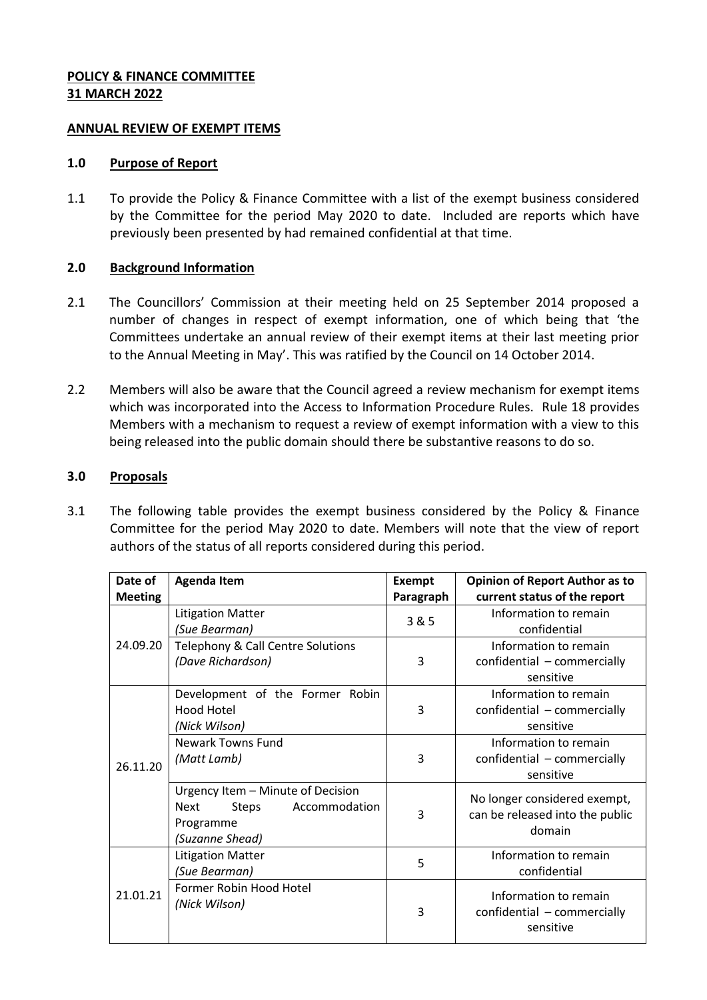## **POLICY & FINANCE COMMITTEE 31 MARCH 2022**

#### **ANNUAL REVIEW OF EXEMPT ITEMS**

#### **1.0 Purpose of Report**

1.1 To provide the Policy & Finance Committee with a list of the exempt business considered by the Committee for the period May 2020 to date. Included are reports which have previously been presented by had remained confidential at that time.

# **2.0 Background Information**

- 2.1 The Councillors' Commission at their meeting held on 25 September 2014 proposed a number of changes in respect of exempt information, one of which being that 'the Committees undertake an annual review of their exempt items at their last meeting prior to the Annual Meeting in May'. This was ratified by the Council on 14 October 2014.
- 2.2 Members will also be aware that the Council agreed a review mechanism for exempt items which was incorporated into the Access to Information Procedure Rules. Rule 18 provides Members with a mechanism to request a review of exempt information with a view to this being released into the public domain should there be substantive reasons to do so.

## **3.0 Proposals**

3.1 The following table provides the exempt business considered by the Policy & Finance Committee for the period May 2020 to date. Members will note that the view of report authors of the status of all reports considered during this period.

| Date of<br><b>Meeting</b> | <b>Agenda Item</b>                                                                                                | <b>Exempt</b><br>Paragraph | <b>Opinion of Report Author as to</b><br>current status of the report     |
|---------------------------|-------------------------------------------------------------------------------------------------------------------|----------------------------|---------------------------------------------------------------------------|
| 24.09.20                  | <b>Litigation Matter</b><br>(Sue Bearman)                                                                         | 3 & 5                      | Information to remain<br>confidential                                     |
|                           | Telephony & Call Centre Solutions<br>(Dave Richardson)                                                            | 3                          | Information to remain<br>confidential - commercially<br>sensitive         |
| 26.11.20                  | Development of the Former Robin<br>Hood Hotel<br>(Nick Wilson)                                                    | 3                          | Information to remain<br>confidential - commercially<br>sensitive         |
|                           | Newark Towns Fund<br>(Matt Lamb)                                                                                  | 3                          | Information to remain<br>confidential - commercially<br>sensitive         |
|                           | Urgency Item - Minute of Decision<br>Accommodation<br><b>Next</b><br><b>Steps</b><br>Programme<br>(Suzanne Shead) | 3                          | No longer considered exempt,<br>can be released into the public<br>domain |
| 21.01.21                  | <b>Litigation Matter</b><br>(Sue Bearman)                                                                         | 5                          | Information to remain<br>confidential                                     |
|                           | Former Robin Hood Hotel<br>(Nick Wilson)                                                                          | 3                          | Information to remain<br>confidential - commercially<br>sensitive         |